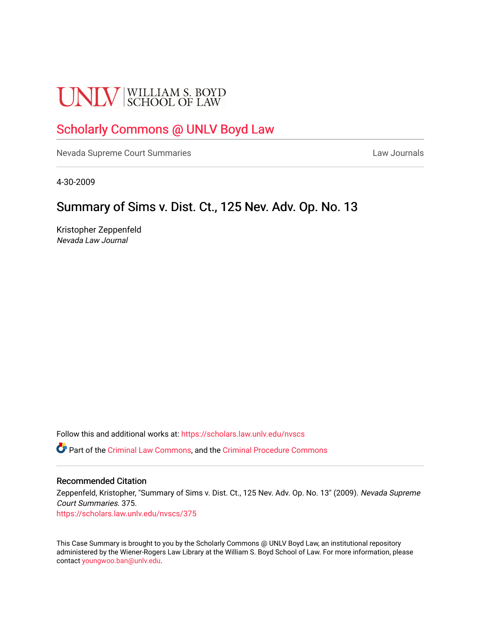# **UNLV** SCHOOL OF LAW

## [Scholarly Commons @ UNLV Boyd Law](https://scholars.law.unlv.edu/)

[Nevada Supreme Court Summaries](https://scholars.law.unlv.edu/nvscs) **Law Journals** Law Journals

4-30-2009

## Summary of Sims v. Dist. Ct., 125 Nev. Adv. Op. No. 13

Kristopher Zeppenfeld Nevada Law Journal

Follow this and additional works at: [https://scholars.law.unlv.edu/nvscs](https://scholars.law.unlv.edu/nvscs?utm_source=scholars.law.unlv.edu%2Fnvscs%2F375&utm_medium=PDF&utm_campaign=PDFCoverPages)

Part of the [Criminal Law Commons,](http://network.bepress.com/hgg/discipline/912?utm_source=scholars.law.unlv.edu%2Fnvscs%2F375&utm_medium=PDF&utm_campaign=PDFCoverPages) and the [Criminal Procedure Commons](http://network.bepress.com/hgg/discipline/1073?utm_source=scholars.law.unlv.edu%2Fnvscs%2F375&utm_medium=PDF&utm_campaign=PDFCoverPages)

#### Recommended Citation

Zeppenfeld, Kristopher, "Summary of Sims v. Dist. Ct., 125 Nev. Adv. Op. No. 13" (2009). Nevada Supreme Court Summaries. 375.

[https://scholars.law.unlv.edu/nvscs/375](https://scholars.law.unlv.edu/nvscs/375?utm_source=scholars.law.unlv.edu%2Fnvscs%2F375&utm_medium=PDF&utm_campaign=PDFCoverPages)

This Case Summary is brought to you by the Scholarly Commons @ UNLV Boyd Law, an institutional repository administered by the Wiener-Rogers Law Library at the William S. Boyd School of Law. For more information, please contact [youngwoo.ban@unlv.edu](mailto:youngwoo.ban@unlv.edu).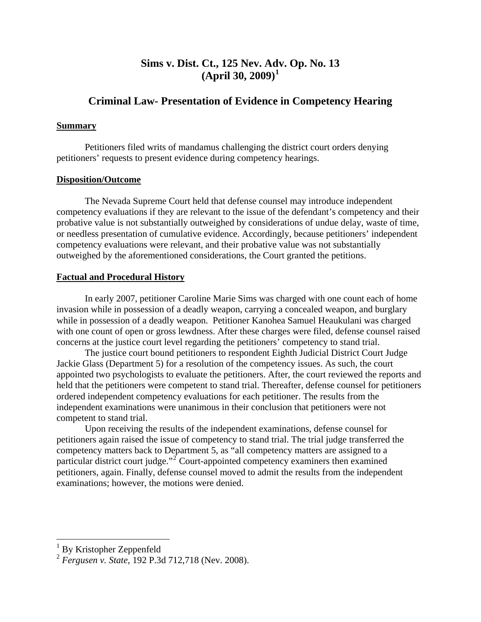## **Sims v. Dist. Ct., 125 Nev. Ad[v](#page-1-0). Op. No. 13 (April 30, 2009)[1](#page-1-0)**

### **Criminal Law- Presentation of Evidence in Competency Hearing**

#### **Summary**

 Petitioners filed writs of mandamus challenging the district court orders denying petitioners' requests to present evidence during competency hearings.

#### **Disposition/Outcome**

 The Nevada Supreme Court held that defense counsel may introduce independent competency evaluations if they are relevant to the issue of the defendant's competency and their probative value is not substantially outweighed by considerations of undue delay, waste of time, or needless presentation of cumulative evidence. Accordingly, because petitioners' independent competency evaluations were relevant, and their probative value was not substantially outweighed by the aforementioned considerations, the Court granted the petitions.

#### **Factual and Procedural History**

 In early 2007, petitioner Caroline Marie Sims was charged with one count each of home invasion while in possession of a deadly weapon, carrying a concealed weapon, and burglary while in possession of a deadly weapon. Petitioner Kanohea Samuel Heaukulani was charged with one count of open or gross lewdness. After these charges were filed, defense counsel raised concerns at the justice court level regarding the petitioners' competency to stand trial.

 The justice court bound petitioners to respondent Eighth Judicial District Court Judge Jackie Glass (Department 5) for a resolution of the competency issues. As such, the court appointed two psychologists to evaluate the petitioners. After, the court reviewed the reports and held that the petitioners were competent to stand trial. Thereafter, defense counsel for petitioners ordered independent competency evaluations for each petitioner. The results from the independent examinations were unanimous in their conclusion that petitioners were not competent to stand trial.

 Upon receiving the results of the independent examinations, defense counsel for petitioners again raised the issue of competency to stand trial. The trial judge transferred the competency matters back to Department 5, as "all competency matters are assigned to a particular district court judge."<sup>[2](#page-1-1)</sup> Court-appointed competency examiners then examined petitioners, again. Finally, defense counsel moved to admit the results from the independent examinations; however, the motions were denied.

 $\overline{a}$ 

<sup>&</sup>lt;sup>1</sup> By Kristopher Zeppenfeld

<span id="page-1-1"></span><span id="page-1-0"></span><sup>2</sup> *Fergusen v. State*, 192 P.3d 712,718 (Nev. 2008).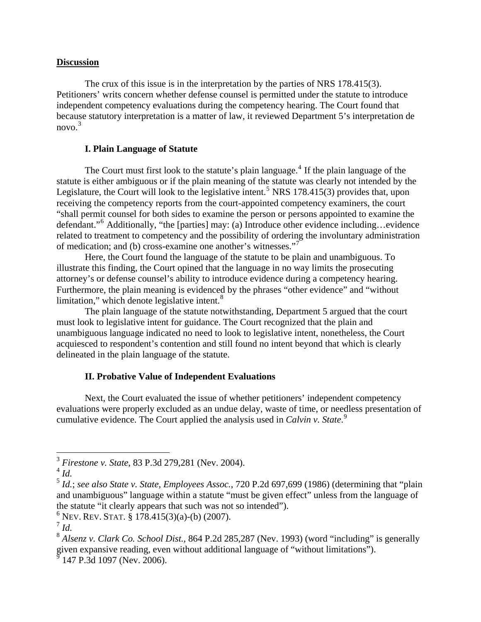#### **Discussion**

 The crux of this issue is in the interpretation by the parties of NRS 178.415(3). Petitioners' writs concern whether defense counsel is permitted under the statute to introduce independent competency evaluations during the competency hearing. The Court found that because statutory interpretation is a matter of law, it reviewed Department 5's interpretation de novo.<sup>[3](#page-2-0)</sup>

#### **I. Plain Language of Statute**

The Court must first look to the statute's plain language.<sup>[4](#page-2-1)</sup> If the plain language of the statute is either ambiguous or if the plain meaning of the statute was clearly not intended by the Legislature, the Court will look to the legislative intent.<sup>[5](#page-2-2)</sup> NRS 178.415(3) provides that, upon receiving the competency reports from the court-appointed competency examiners, the court "shall permit counsel for both sides to examine the person or persons appointed to examine the defendant."[6](#page-2-3) Additionally, "the [parties] may: (a) Introduce other evidence including…evidence related to treatment to competency and the possibility of ordering the involuntary administration of medication; and (b) cross-examine one another's witnesses."

 Here, the Court found the language of the statute to be plain and unambiguous. To illustrate this finding, the Court opined that the language in no way limits the prosecuting attorney's or defense counsel's ability to introduce evidence during a competency hearing. Furthermore, the plain meaning is evidenced by the phrases "other evidence" and "without limitation," which denote legislative intent. $8$ 

 The plain language of the statute notwithstanding, Department 5 argued that the court must look to legislative intent for guidance. The Court recognized that the plain and unambiguous language indicated no need to look to legislative intent, nonetheless, the Court acquiesced to respondent's contention and still found no intent beyond that which is clearly delineated in the plain language of the statute.

#### **II. Probative Value of Independent Evaluations**

Next, the Court evaluated the issue of whether petitioners' independent competency evaluations were properly excluded as an undue delay, waste of time, or needless presentation of cumulative evidence. The Court applied the analysis used in *Calvin v. State*. [9](#page-2-6)

 $\overline{a}$ 

<span id="page-2-0"></span><sup>3</sup> *Firestone v. State*, 83 P.3d 279,281 (Nev. 2004).

<span id="page-2-1"></span> $^{4}$  *Id.* 

<span id="page-2-2"></span><sup>5</sup> *Id.*; *see also State v. State, Employees Assoc.*, 720 P.2d 697,699 (1986) (determining that "plain and unambiguous" language within a statute "must be given effect" unless from the language of the statute "it clearly appears that such was not so intended").

<span id="page-2-3"></span> $6$  Nev. Rev. Stat. § 178.415(3)(a)-(b) (2007).

<span id="page-2-4"></span> $^7$  *Id.* 

<span id="page-2-6"></span><span id="page-2-5"></span><sup>8</sup> *Alsenz v. Clark Co. School Dist.*, 864 P.2d 285,287 (Nev. 1993) (word "including" is generally given expansive reading, even without additional language of "without limitations"). 9 147 P.3d 1097 (Nev. 2006).